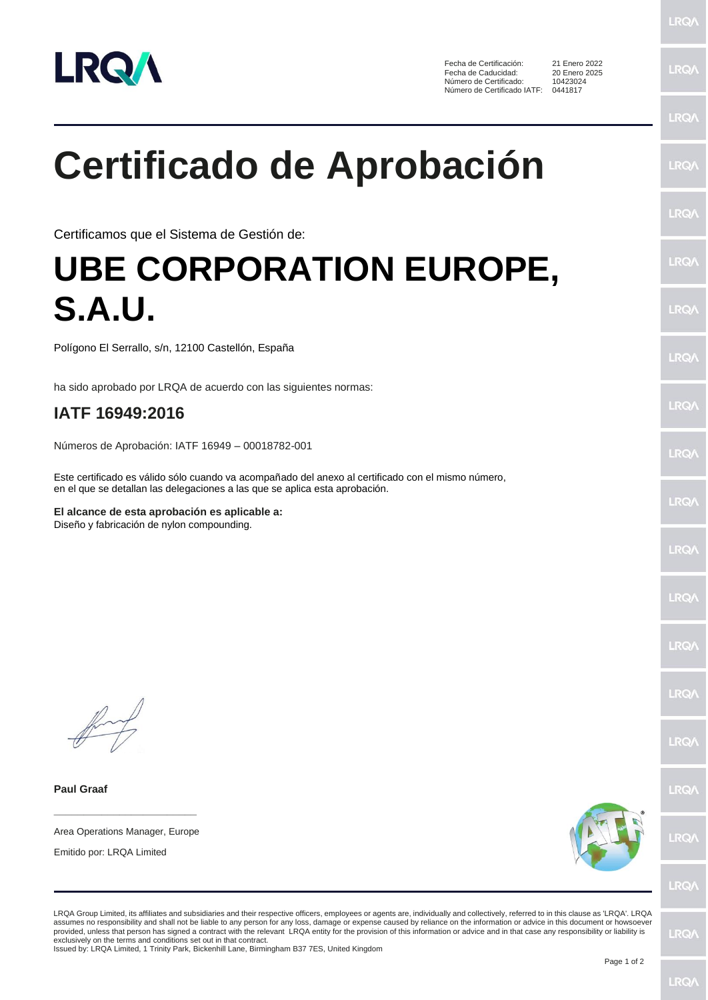

Fecha de Certificación: 21 Enero 2022<br>Fecha de Caducidad: 20 Enero 2025 Fecha de Caducidad: 20 Enero 2<br>Número de Certificado: 10423024 Número de Certificado: Número de Certificado IATF: 0441817

**LRQ/** LRQ/

**LRQA** 

**LRQ/** 

**LRQ/** 

LRQ/

**LRQ/** 

LRQ/

LRQ/

LRQ/

## **Certificado de Aprobación**

Certificamos que el Sistema de Gestión de:

## **UBE CORPORATION EUROPE, S.A.U.**

Polígono El Serrallo, s/n, 12100 Castellón, España

ha sido aprobado por LRQA de acuerdo con las siguientes normas:

## **IATF 16949:2016**

Números de Aprobación: IATF 16949 – 00018782-001

Este certificado es válido sólo cuando va acompañado del anexo al certificado con el mismo número, en el que se detallan las delegaciones a las que se aplica esta aprobación.

**El alcance de esta aprobación es aplicable a:** Diseño y fabricación de nylon compounding.

**Paul Graaf**

**\_\_\_\_\_\_\_\_\_\_\_\_\_\_\_\_\_\_\_\_\_\_\_\_** Area Operations Manager, Europe

Emitido por: LRQA Limited



LRQA Group Limited, its affiliates and subsidiaries and their respective officers, employees or agents are, individually and collectively, referred to in this clause as 'LRQA'. LRQA assumes no responsibility and shall not be liable to any person for any loss, damage or expense caused by reliance on the information or advice in this document or howsoever provided, unless that person has signed a contract with the relevant LRQA entity for the provision of this information or advice and in that case any responsibility or liability is<br>exclusively on the terms and conditions s

Issued by: LRQA Limited, 1 Trinity Park, Bickenhill Lane, Birmingham B37 7ES, United Kingdom

LRQ/

LRQ/

LRQ/

LRQ/

LRQ/

**LRQ/** 

**LROA**